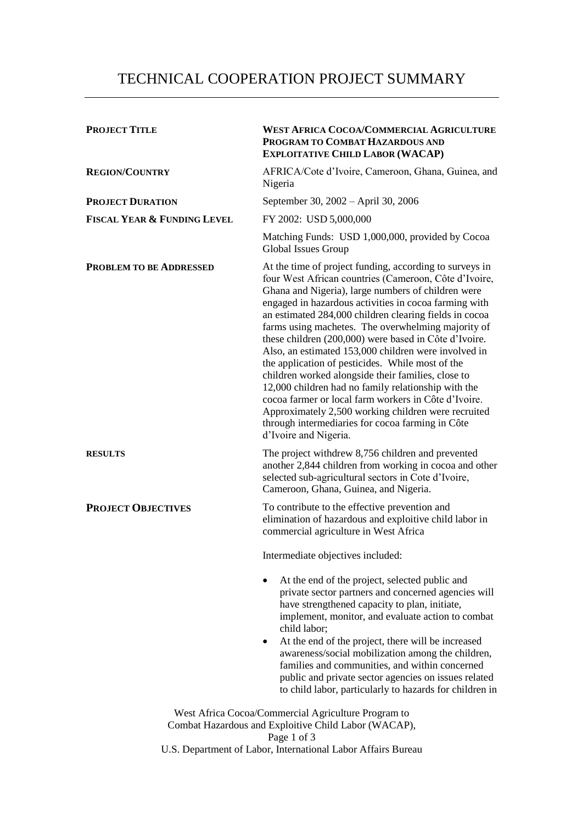## TECHNICAL COOPERATION PROJECT SUMMARY

| <b>PROJECT TITLE</b>                   | <b>WEST AFRICA COCOA/COMMERCIAL AGRICULTURE</b><br>PROGRAM TO COMBAT HAZARDOUS AND<br><b>EXPLOITATIVE CHILD LABOR (WACAP)</b>                                                                                                                                                                                                                                                                                                                                                                                                                                                                                                                                                                                                                                                                                                 |
|----------------------------------------|-------------------------------------------------------------------------------------------------------------------------------------------------------------------------------------------------------------------------------------------------------------------------------------------------------------------------------------------------------------------------------------------------------------------------------------------------------------------------------------------------------------------------------------------------------------------------------------------------------------------------------------------------------------------------------------------------------------------------------------------------------------------------------------------------------------------------------|
| <b>REGION/COUNTRY</b>                  | AFRICA/Cote d'Ivoire, Cameroon, Ghana, Guinea, and<br>Nigeria                                                                                                                                                                                                                                                                                                                                                                                                                                                                                                                                                                                                                                                                                                                                                                 |
| <b>PROJECT DURATION</b>                | September 30, 2002 - April 30, 2006                                                                                                                                                                                                                                                                                                                                                                                                                                                                                                                                                                                                                                                                                                                                                                                           |
| <b>FISCAL YEAR &amp; FUNDING LEVEL</b> | FY 2002: USD 5,000,000                                                                                                                                                                                                                                                                                                                                                                                                                                                                                                                                                                                                                                                                                                                                                                                                        |
|                                        | Matching Funds: USD 1,000,000, provided by Cocoa<br>Global Issues Group                                                                                                                                                                                                                                                                                                                                                                                                                                                                                                                                                                                                                                                                                                                                                       |
| <b>PROBLEM TO BE ADDRESSED</b>         | At the time of project funding, according to surveys in<br>four West African countries (Cameroon, Côte d'Ivoire,<br>Ghana and Nigeria), large numbers of children were<br>engaged in hazardous activities in cocoa farming with<br>an estimated 284,000 children clearing fields in cocoa<br>farms using machetes. The overwhelming majority of<br>these children (200,000) were based in Côte d'Ivoire.<br>Also, an estimated 153,000 children were involved in<br>the application of pesticides. While most of the<br>children worked alongside their families, close to<br>12,000 children had no family relationship with the<br>cocoa farmer or local farm workers in Côte d'Ivoire.<br>Approximately 2,500 working children were recruited<br>through intermediaries for cocoa farming in Côte<br>d'Ivoire and Nigeria. |
| <b>RESULTS</b>                         | The project withdrew 8,756 children and prevented<br>another 2,844 children from working in cocoa and other<br>selected sub-agricultural sectors in Cote d'Ivoire,<br>Cameroon, Ghana, Guinea, and Nigeria.                                                                                                                                                                                                                                                                                                                                                                                                                                                                                                                                                                                                                   |
| <b>PROJECT OBJECTIVES</b>              | To contribute to the effective prevention and<br>elimination of hazardous and exploitive child labor in<br>commercial agriculture in West Africa                                                                                                                                                                                                                                                                                                                                                                                                                                                                                                                                                                                                                                                                              |
|                                        | Intermediate objectives included:                                                                                                                                                                                                                                                                                                                                                                                                                                                                                                                                                                                                                                                                                                                                                                                             |
|                                        | At the end of the project, selected public and<br>private sector partners and concerned agencies will<br>have strengthened capacity to plan, initiate,<br>implement, monitor, and evaluate action to combat<br>child labor;<br>At the end of the project, there will be increased<br>$\bullet$<br>awareness/social mobilization among the children,<br>families and communities, and within concerned<br>public and private sector agencies on issues related                                                                                                                                                                                                                                                                                                                                                                 |
|                                        | to child labor, particularly to hazards for children in                                                                                                                                                                                                                                                                                                                                                                                                                                                                                                                                                                                                                                                                                                                                                                       |
|                                        | West Africa Cocoa/Commercial Agriculture Program to<br>Combat Hazardous and Exploitive Child Labor (WACAP),<br>Page 1 of 3<br>U.S. Department of Labor, International Labor Affairs Bureau                                                                                                                                                                                                                                                                                                                                                                                                                                                                                                                                                                                                                                    |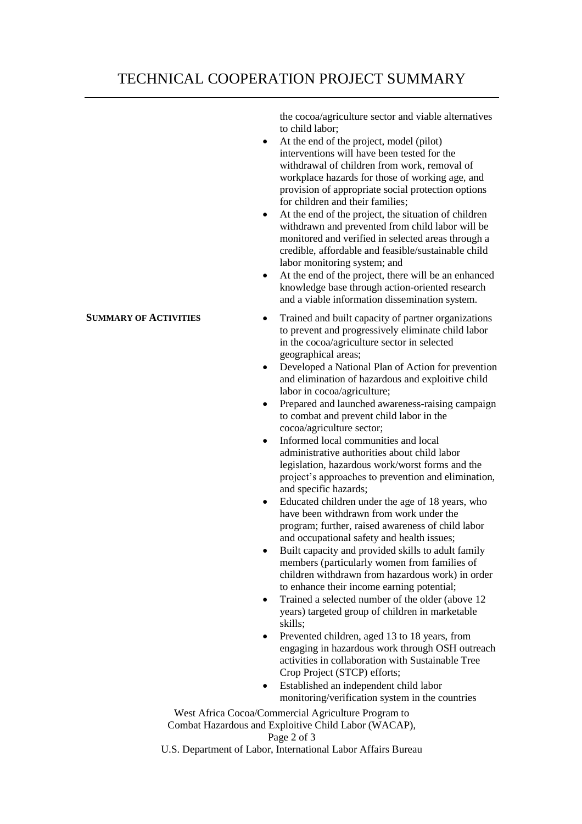## TECHNICAL COOPERATION PROJECT SUMMARY

the cocoa/agriculture sector and viable alternatives to child labor;

- At the end of the project, model (pilot) interventions will have been tested for the withdrawal of children from work, removal of workplace hazards for those of working age, and provision of appropriate social protection options for children and their families;
- At the end of the project, the situation of children withdrawn and prevented from child labor will be monitored and verified in selected areas through a credible, affordable and feasible/sustainable child labor monitoring system; and
- At the end of the project, there will be an enhanced knowledge base through action-oriented research and a viable information dissemination system.
- **SUMMARY OF ACTIVITIES** Trained and built capacity of partner organizations to prevent and progressively eliminate child labor in the cocoa/agriculture sector in selected geographical areas;
	- Developed a National Plan of Action for prevention and elimination of hazardous and exploitive child labor in cocoa/agriculture;
	- Prepared and launched awareness-raising campaign to combat and prevent child labor in the cocoa/agriculture sector;
	- Informed local communities and local administrative authorities about child labor legislation, hazardous work/worst forms and the project's approaches to prevention and elimination, and specific hazards;
	- Educated children under the age of 18 years, who have been withdrawn from work under the program; further, raised awareness of child labor and occupational safety and health issues;
	- Built capacity and provided skills to adult family members (particularly women from families of children withdrawn from hazardous work) in order to enhance their income earning potential;
	- Trained a selected number of the older (above 12 years) targeted group of children in marketable skills;
	- Prevented children, aged 13 to 18 years, from engaging in hazardous work through OSH outreach activities in collaboration with Sustainable Tree Crop Project (STCP) efforts;
	- Established an independent child labor monitoring/verification system in the countries

West Africa Cocoa/Commercial Agriculture Program to Combat Hazardous and Exploitive Child Labor (WACAP), Page 2 of 3

U.S. Department of Labor, International Labor Affairs Bureau